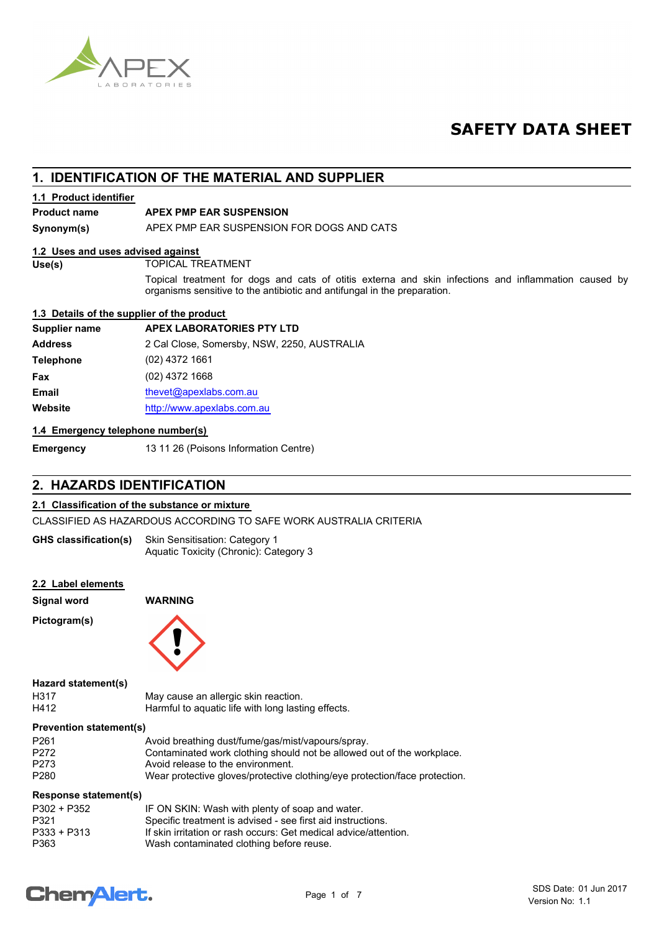

## **SAFETY DATA SHEET**

## **1. IDENTIFICATION OF THE MATERIAL AND SUPPLIER**

#### **1.1 Product identifier**

#### **Product name APEX PMP EAR SUSPENSION**

**Synonym(s)** APEX PMP EAR SUSPENSION FOR DOGS AND CATS

#### **1.2 Uses and uses advised against**

**Use(s)** TOPICAL TREATMENT

Topical treatment for dogs and cats of otitis externa and skin infections and inflammation caused by organisms sensitive to the antibiotic and antifungal in the preparation.

#### **1.3 Details of the supplier of the product**

| <b>APEX LABORATORIES PTY LTD</b>            |
|---------------------------------------------|
| 2 Cal Close, Somersby, NSW, 2250, AUSTRALIA |
| (02) 4372 1661                              |
| $(02)$ 4372 1668                            |
| thevet@apexlabs.com.au                      |
| http://www.apexlabs.com.au                  |
|                                             |

#### **1.4 Emergency telephone number(s)**

**Emergency** 13 11 26 (Poisons Information Centre)

### **2. HAZARDS IDENTIFICATION**

#### **2.1 Classification of the substance or mixture**

CLASSIFIED AS HAZARDOUS ACCORDING TO SAFE WORK AUSTRALIA CRITERIA

Skin Sensitisation: Category 1 Aquatic Toxicity (Chronic): Category 3 **GHS classification(s)**

#### **2.2 Label elements**

**Signal word WARNING**

**Pictogram(s)**



#### **Hazard statement(s)**

| H317 | May cause an allergic skin reaction.               |
|------|----------------------------------------------------|
| H412 | Harmful to aquatic life with long lasting effects. |

#### **Prevention statement(s)**

| P <sub>261</sub> | Avoid breathing dust/fume/gas/mist/vapours/spray.                          |
|------------------|----------------------------------------------------------------------------|
| P <sub>272</sub> | Contaminated work clothing should not be allowed out of the workplace.     |
| P <sub>273</sub> | Avoid release to the environment.                                          |
| P <sub>280</sub> | Wear protective gloves/protective clothing/eye protection/face protection. |

#### **Response statement(s)**

| IF ON SKIN: Wash with plenty of soap and water.                  |
|------------------------------------------------------------------|
| Specific treatment is advised - see first aid instructions.      |
| If skin irritation or rash occurs: Get medical advice/attention. |
| Wash contaminated clothing before reuse.                         |
|                                                                  |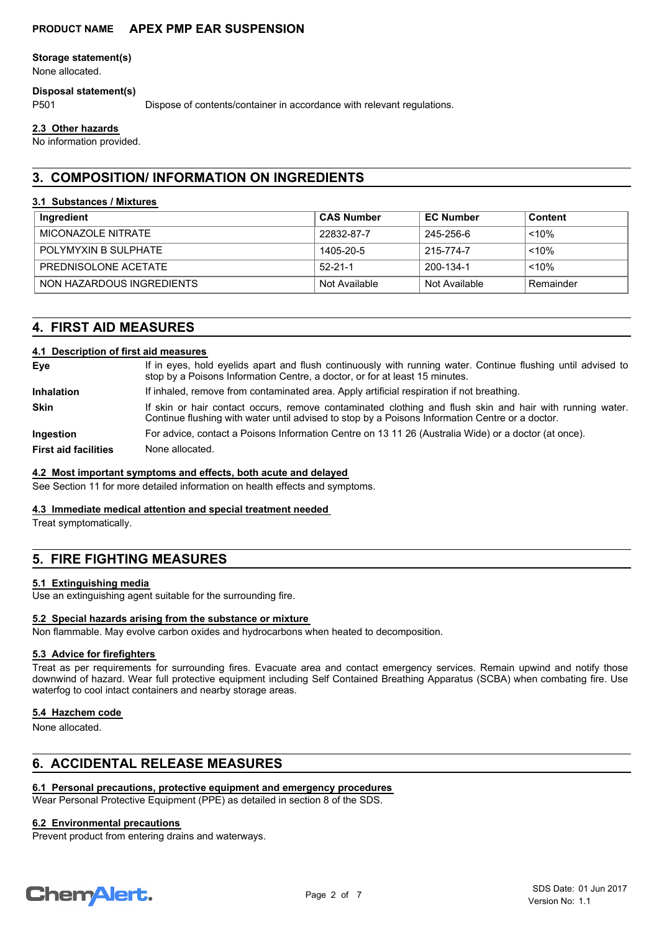#### **Storage statement(s)**

None allocated.

#### **Disposal statement(s)**

P501 Dispose of contents/container in accordance with relevant regulations.

#### **2.3 Other hazards**

No information provided.

## **3. COMPOSITION/ INFORMATION ON INGREDIENTS**

#### **3.1 Substances / Mixtures**

| Ingredient                   | <b>CAS Number</b> | <b>EC Number</b> | Content   |
|------------------------------|-------------------|------------------|-----------|
| MICONAZOLE NITRATE           | 22832-87-7        | 245-256-6        | $~10\%$   |
| <b>POI YMYXIN B SULPHATE</b> | 1405-20-5         | 215-774-7        | $10\%$    |
| PREDNISOLONE ACETATE         | $52 - 21 - 1$     | 200-134-1        | $10\%$    |
| NON HAZARDOUS INGREDIENTS    | Not Available     | Not Available    | Remainder |

## **4. FIRST AID MEASURES**

#### **4.1 Description of first aid measures**

| Eye                         | If in eyes, hold eyelids apart and flush continuously with running water. Continue flushing until advised to<br>stop by a Poisons Information Centre, a doctor, or for at least 15 minutes.                 |
|-----------------------------|-------------------------------------------------------------------------------------------------------------------------------------------------------------------------------------------------------------|
| <b>Inhalation</b>           | If inhaled, remove from contaminated area. Apply artificial respiration if not breathing.                                                                                                                   |
| <b>Skin</b>                 | If skin or hair contact occurs, remove contaminated clothing and flush skin and hair with running water.<br>Continue flushing with water until advised to stop by a Poisons Information Centre or a doctor. |
| <b>Ingestion</b>            | For advice, contact a Poisons Information Centre on 13 11 26 (Australia Wide) or a doctor (at once).                                                                                                        |
| <b>First aid facilities</b> | None allocated.                                                                                                                                                                                             |

#### **4.2 Most important symptoms and effects, both acute and delayed**

See Section 11 for more detailed information on health effects and symptoms.

#### **4.3 Immediate medical attention and special treatment needed**

Treat symptomatically.

## **5. FIRE FIGHTING MEASURES**

#### **5.1 Extinguishing media**

Use an extinguishing agent suitable for the surrounding fire.

#### **5.2 Special hazards arising from the substance or mixture**

Non flammable. May evolve carbon oxides and hydrocarbons when heated to decomposition.

#### **5.3 Advice for firefighters**

Treat as per requirements for surrounding fires. Evacuate area and contact emergency services. Remain upwind and notify those downwind of hazard. Wear full protective equipment including Self Contained Breathing Apparatus (SCBA) when combating fire. Use waterfog to cool intact containers and nearby storage areas.

#### **5.4 Hazchem code**

None allocated.

## **6. ACCIDENTAL RELEASE MEASURES**

#### **6.1 Personal precautions, protective equipment and emergency procedures**

Wear Personal Protective Equipment (PPE) as detailed in section 8 of the SDS.

#### **6.2 Environmental precautions**

Prevent product from entering drains and waterways.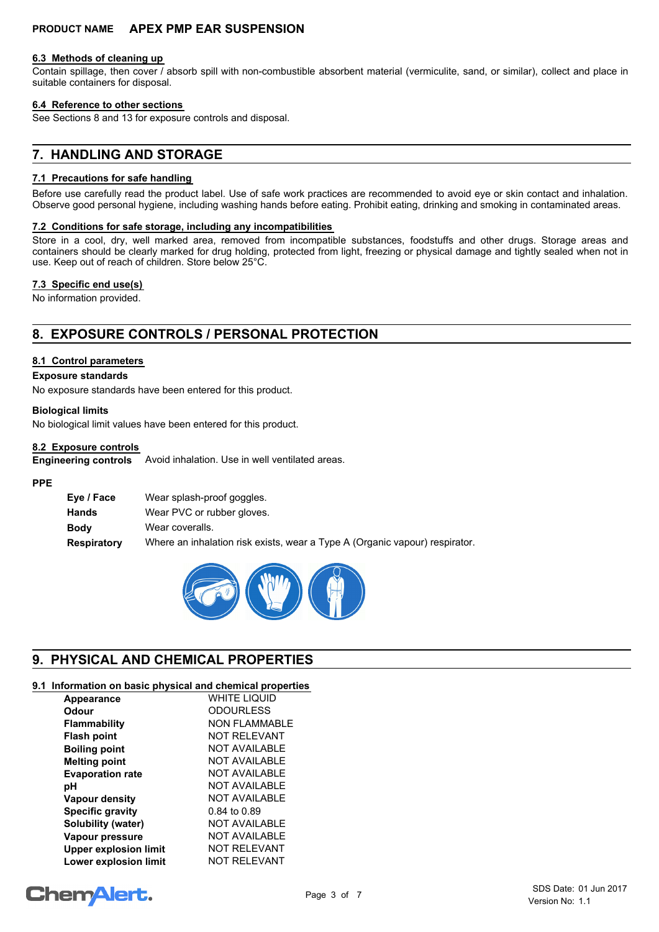#### **6.3 Methods of cleaning up**

Contain spillage, then cover / absorb spill with non-combustible absorbent material (vermiculite, sand, or similar), collect and place in suitable containers for disposal.

#### **6.4 Reference to other sections**

See Sections 8 and 13 for exposure controls and disposal.

## **7. HANDLING AND STORAGE**

#### **7.1 Precautions for safe handling**

Before use carefully read the product label. Use of safe work practices are recommended to avoid eye or skin contact and inhalation. Observe good personal hygiene, including washing hands before eating. Prohibit eating, drinking and smoking in contaminated areas.

#### **7.2 Conditions for safe storage, including any incompatibilities**

Store in a cool, dry, well marked area, removed from incompatible substances, foodstuffs and other drugs. Storage areas and containers should be clearly marked for drug holding, protected from light, freezing or physical damage and tightly sealed when not in use. Keep out of reach of children. Store below 25°C.

#### **7.3 Specific end use(s)**

No information provided.

## **8. EXPOSURE CONTROLS / PERSONAL PROTECTION**

#### **8.1 Control parameters**

#### **Exposure standards**

No exposure standards have been entered for this product.

#### **Biological limits**

No biological limit values have been entered for this product.

#### **8.2 Exposure controls**

**Engineering controls** Avoid inhalation. Use in well ventilated areas.

#### **PPE**

| Eye / Face         | Wear splash-proof goggles.                                                  |
|--------------------|-----------------------------------------------------------------------------|
| Hands              | Wear PVC or rubber gloves.                                                  |
| <b>Body</b>        | Wear coveralls.                                                             |
| <b>Respiratory</b> | Where an inhalation risk exists, wear a Type A (Organic vapour) respirator. |



## **9. PHYSICAL AND CHEMICAL PROPERTIES**

#### **9.1 Information on basic physical and chemical properties**

| Appearance                   | <b>WHITE LIQUID</b>  |
|------------------------------|----------------------|
| Odour                        | <b>ODOURLESS</b>     |
| <b>Flammability</b>          | <b>NON FLAMMABLE</b> |
| <b>Flash point</b>           | <b>NOT RELEVANT</b>  |
| <b>Boiling point</b>         | NOT AVAILABLE        |
| <b>Melting point</b>         | NOT AVAILABLE        |
| <b>Evaporation rate</b>      | <b>NOT AVAILABLE</b> |
| рH                           | <b>NOT AVAILABLE</b> |
| <b>Vapour density</b>        | <b>NOT AVAILABLE</b> |
| <b>Specific gravity</b>      | 0.84 to 0.89         |
| Solubility (water)           | <b>NOT AVAILABLE</b> |
| Vapour pressure              | <b>NOT AVAILABLE</b> |
| <b>Upper explosion limit</b> | <b>NOT RELEVANT</b>  |
| <b>Lower explosion limit</b> | <b>NOT RELEVANT</b>  |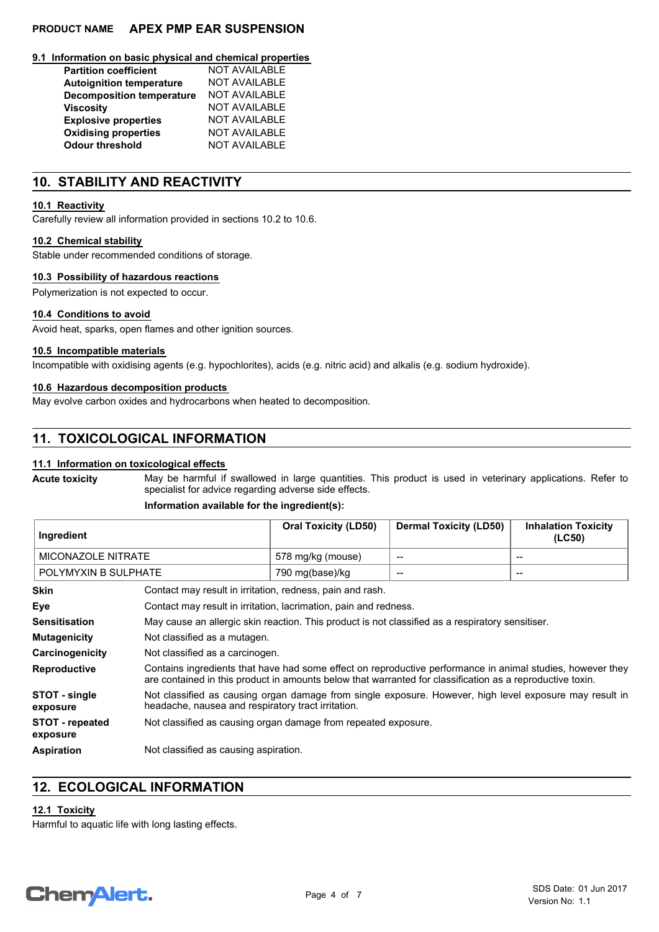#### **9.1 Information on basic physical and chemical properties**

| <b>Partition coefficient</b>     | <b>NOT AVAILABLE</b> |
|----------------------------------|----------------------|
| <b>Autoignition temperature</b>  | <b>NOT AVAILABLE</b> |
| <b>Decomposition temperature</b> | <b>NOT AVAILABLE</b> |
| <b>Viscosity</b>                 | <b>NOT AVAILABLE</b> |
| <b>Explosive properties</b>      | <b>NOT AVAILABLE</b> |
| <b>Oxidising properties</b>      | <b>NOT AVAILABLE</b> |
| <b>Odour threshold</b>           | <b>NOT AVAILABLE</b> |

## **10. STABILITY AND REACTIVITY**

#### **10.1 Reactivity**

Carefully review all information provided in sections 10.2 to 10.6.

#### **10.2 Chemical stability**

Stable under recommended conditions of storage.

#### **10.3 Possibility of hazardous reactions**

Polymerization is not expected to occur.

#### **10.4 Conditions to avoid**

Avoid heat, sparks, open flames and other ignition sources.

#### **10.5 Incompatible materials**

Incompatible with oxidising agents (e.g. hypochlorites), acids (e.g. nitric acid) and alkalis (e.g. sodium hydroxide).

#### **10.6 Hazardous decomposition products**

May evolve carbon oxides and hydrocarbons when heated to decomposition.

### **11. TOXICOLOGICAL INFORMATION**

#### **11.1 Information on toxicological effects**

**Acute toxicity**

May be harmful if swallowed in large quantities. This product is used in veterinary applications. Refer to specialist for advice regarding adverse side effects.

#### **Information available for the ingredient(s):**

| ∣ Ingredient         | <b>Oral Toxicity (LD50)</b> | <b>Dermal Toxicity (LD50)</b> | <b>Inhalation Toxicity</b><br>(LC50) |
|----------------------|-----------------------------|-------------------------------|--------------------------------------|
| MICONAZOLE NITRATE   | 578 mg/kg (mouse)           | $\overline{\phantom{a}}$      | --                                   |
| POLYMYXIN B SULPHATE | 790 mg(base)/kg             | $- -$                         | --                                   |

| <b>Skin</b>                        | Contact may result in irritation, redness, pain and rash.                                                                                                                                                               |
|------------------------------------|-------------------------------------------------------------------------------------------------------------------------------------------------------------------------------------------------------------------------|
| Eye                                | Contact may result in irritation, lacrimation, pain and redness.                                                                                                                                                        |
| <b>Sensitisation</b>               | May cause an allergic skin reaction. This product is not classified as a respiratory sensitiser.                                                                                                                        |
| <b>Mutagenicity</b>                | Not classified as a mutagen.                                                                                                                                                                                            |
| Carcinogenicity                    | Not classified as a carcinogen.                                                                                                                                                                                         |
| <b>Reproductive</b>                | Contains ingredients that have had some effect on reproductive performance in animal studies, however they<br>are contained in this product in amounts below that warranted for classification as a reproductive toxin. |
| STOT - single<br>exposure          | Not classified as causing organ damage from single exposure. However, high level exposure may result in<br>headache, nausea and respiratory tract irritation.                                                           |
| <b>STOT</b> - repeated<br>exposure | Not classified as causing organ damage from repeated exposure.                                                                                                                                                          |
| <b>Aspiration</b>                  | Not classified as causing aspiration.                                                                                                                                                                                   |

### **12. ECOLOGICAL INFORMATION**

#### **12.1 Toxicity**

Harmful to aquatic life with long lasting effects.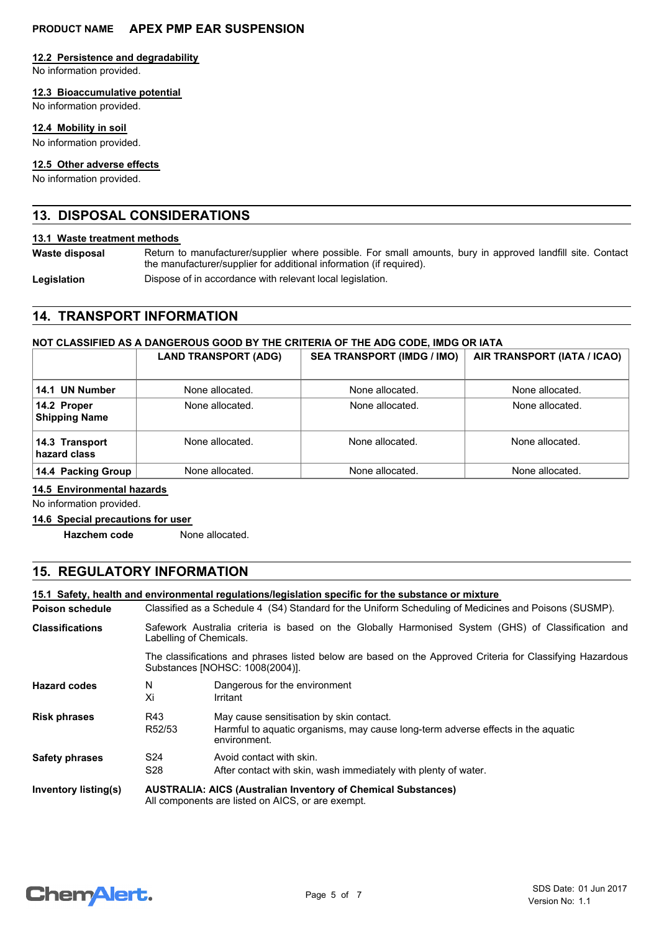#### **12.2 Persistence and degradability**

No information provided.

#### **12.3 Bioaccumulative potential**

No information provided.

#### **12.4 Mobility in soil**

No information provided.

#### **12.5 Other adverse effects**

No information provided.

### **13. DISPOSAL CONSIDERATIONS**

#### **13.1 Waste treatment methods**

**Waste disposal**

Return to manufacturer/supplier where possible. For small amounts, bury in approved landfill site. Contact the manufacturer/supplier for additional information (if required).

Legislation **Dispose of in accordance with relevant local legislation.** 

## **14. TRANSPORT INFORMATION**

#### **NOT CLASSIFIED AS A DANGEROUS GOOD BY THE CRITERIA OF THE ADG CODE, IMDG OR IATA**

|                                     | <b>LAND TRANSPORT (ADG)</b> | <b>SEA TRANSPORT (IMDG / IMO)</b> | AIR TRANSPORT (IATA / ICAO) |
|-------------------------------------|-----------------------------|-----------------------------------|-----------------------------|
| 14.1 UN Number                      | None allocated.             | None allocated.                   | None allocated.             |
| 14.2 Proper<br><b>Shipping Name</b> | None allocated.             | None allocated.                   | None allocated.             |
| 14.3 Transport<br>hazard class      | None allocated.             | None allocated.                   | None allocated.             |
| 14.4 Packing Group                  | None allocated.             | None allocated.                   | None allocated.             |

#### **14.5 Environmental hazards**

No information provided.

#### **14.6 Special precautions for user**

**Hazchem code** None allocated.

## **15. REGULATORY INFORMATION**

#### **15.1 Safety, health and environmental regulations/legislation specific for the substance or mixture**

| <b>Poison schedule</b> | Classified as a Schedule 4 (S4) Standard for the Uniform Scheduling of Medicines and Poisons (SUSMP).                                        |                                                                                                                                              |  |
|------------------------|----------------------------------------------------------------------------------------------------------------------------------------------|----------------------------------------------------------------------------------------------------------------------------------------------|--|
| <b>Classifications</b> | Safework Australia criteria is based on the Globally Harmonised System (GHS) of Classification and<br>Labelling of Chemicals.                |                                                                                                                                              |  |
|                        | The classifications and phrases listed below are based on the Approved Criteria for Classifying Hazardous<br>Substances [NOHSC: 1008(2004)]. |                                                                                                                                              |  |
| <b>Hazard codes</b>    | N<br>Xi                                                                                                                                      | Dangerous for the environment<br>Irritant                                                                                                    |  |
| <b>Risk phrases</b>    | R43<br>R52/53                                                                                                                                | May cause sensitisation by skin contact.<br>Harmful to aquatic organisms, may cause long-term adverse effects in the aquatic<br>environment. |  |
| <b>Safety phrases</b>  | S <sub>24</sub><br>S28                                                                                                                       | Avoid contact with skin.<br>After contact with skin, wash immediately with plenty of water.                                                  |  |
| Inventory listing(s)   | <b>AUSTRALIA: AICS (Australian Inventory of Chemical Substances)</b><br>All components are listed on AICS, or are exempt.                    |                                                                                                                                              |  |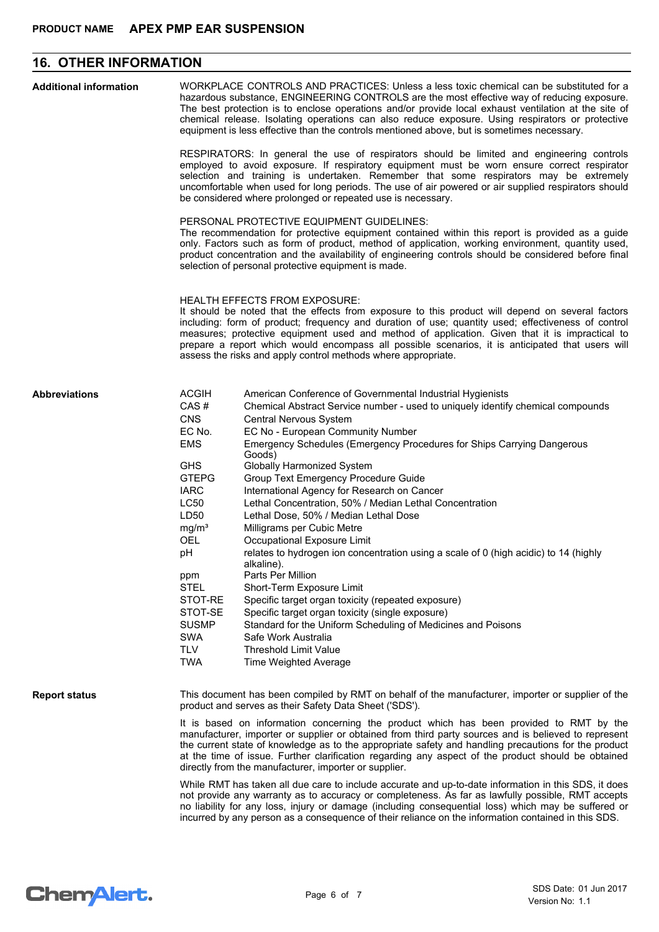## **16. OTHER INFORMATION**

| <b>Additional information</b> | WORKPLACE CONTROLS AND PRACTICES: Unless a less toxic chemical can be substituted for a<br>hazardous substance, ENGINEERING CONTROLS are the most effective way of reducing exposure.<br>The best protection is to enclose operations and/or provide local exhaust ventilation at the site of<br>chemical release. Isolating operations can also reduce exposure. Using respirators or protective<br>equipment is less effective than the controls mentioned above, but is sometimes necessary.                       |                                                                                                                                                                                                                                                                                                                                                                                                                                                         |  |  |
|-------------------------------|-----------------------------------------------------------------------------------------------------------------------------------------------------------------------------------------------------------------------------------------------------------------------------------------------------------------------------------------------------------------------------------------------------------------------------------------------------------------------------------------------------------------------|---------------------------------------------------------------------------------------------------------------------------------------------------------------------------------------------------------------------------------------------------------------------------------------------------------------------------------------------------------------------------------------------------------------------------------------------------------|--|--|
|                               |                                                                                                                                                                                                                                                                                                                                                                                                                                                                                                                       | RESPIRATORS: In general the use of respirators should be limited and engineering controls<br>employed to avoid exposure. If respiratory equipment must be worn ensure correct respirator<br>selection and training is undertaken. Remember that some respirators may be extremely<br>uncomfortable when used for long periods. The use of air powered or air supplied respirators should<br>be considered where prolonged or repeated use is necessary. |  |  |
|                               | PERSONAL PROTECTIVE EQUIPMENT GUIDELINES:<br>The recommendation for protective equipment contained within this report is provided as a guide<br>only. Factors such as form of product, method of application, working environment, quantity used,<br>product concentration and the availability of engineering controls should be considered before final<br>selection of personal protective equipment is made.                                                                                                      |                                                                                                                                                                                                                                                                                                                                                                                                                                                         |  |  |
|                               | <b>HEALTH EFFECTS FROM EXPOSURE:</b><br>It should be noted that the effects from exposure to this product will depend on several factors<br>including: form of product; frequency and duration of use; quantity used; effectiveness of control<br>measures; protective equipment used and method of application. Given that it is impractical to<br>prepare a report which would encompass all possible scenarios, it is anticipated that users will<br>assess the risks and apply control methods where appropriate. |                                                                                                                                                                                                                                                                                                                                                                                                                                                         |  |  |
| <b>Abbreviations</b>          | <b>ACGIH</b><br>CAS#<br><b>CNS</b><br>EC No.<br><b>EMS</b>                                                                                                                                                                                                                                                                                                                                                                                                                                                            | American Conference of Governmental Industrial Hygienists<br>Chemical Abstract Service number - used to uniquely identify chemical compounds<br>Central Nervous System<br>EC No - European Community Number<br>Emergency Schedules (Emergency Procedures for Ships Carrying Dangerous<br>Goods)                                                                                                                                                         |  |  |
|                               | <b>GHS</b><br><b>GTEPG</b><br><b>IARC</b><br><b>LC50</b><br>LD50<br>mg/m <sup>3</sup><br>OEL                                                                                                                                                                                                                                                                                                                                                                                                                          | Globally Harmonized System<br>Group Text Emergency Procedure Guide<br>International Agency for Research on Cancer<br>Lethal Concentration, 50% / Median Lethal Concentration<br>Lethal Dose, 50% / Median Lethal Dose<br>Milligrams per Cubic Metre<br>Occupational Exposure Limit                                                                                                                                                                      |  |  |
|                               | рH<br>ppm<br><b>STEL</b>                                                                                                                                                                                                                                                                                                                                                                                                                                                                                              | relates to hydrogen ion concentration using a scale of 0 (high acidic) to 14 (highly<br>alkaline).<br>Parts Per Million<br>Short-Term Exposure Limit                                                                                                                                                                                                                                                                                                    |  |  |
|                               | STOT-RE<br>STOT-SE<br><b>SUSMP</b><br><b>SWA</b><br><b>TLV</b><br><b>TWA</b>                                                                                                                                                                                                                                                                                                                                                                                                                                          | Specific target organ toxicity (repeated exposure)<br>Specific target organ toxicity (single exposure)<br>Standard for the Uniform Scheduling of Medicines and Poisons<br>Safe Work Australia<br><b>Threshold Limit Value</b><br>Time Weighted Average                                                                                                                                                                                                  |  |  |
| <b>Report status</b>          | This document has been compiled by RMT on behalf of the manufacturer, importer or supplier of the<br>product and serves as their Safety Data Sheet ('SDS').                                                                                                                                                                                                                                                                                                                                                           |                                                                                                                                                                                                                                                                                                                                                                                                                                                         |  |  |
|                               | It is based on information concerning the product which has been provided to RMT by the<br>manufacturer, importer or supplier or obtained from third party sources and is believed to represent<br>the current state of knowledge as to the appropriate safety and handling precautions for the product<br>at the time of issue. Further clarification regarding any aspect of the product should be obtained<br>directly from the manufacturer, importer or supplier.                                                |                                                                                                                                                                                                                                                                                                                                                                                                                                                         |  |  |
|                               | While RMT has taken all due care to include accurate and up-to-date information in this SDS, it does<br>not provide any warranty as to accuracy or completeness. As far as lawfully possible, RMT accepts<br>no liability for any loss, injury or damage (including consequential loss) which may be suffered or<br>incurred by any person as a consequence of their reliance on the information contained in this SDS.                                                                                               |                                                                                                                                                                                                                                                                                                                                                                                                                                                         |  |  |

# Chem<sup>Alert.</sup>